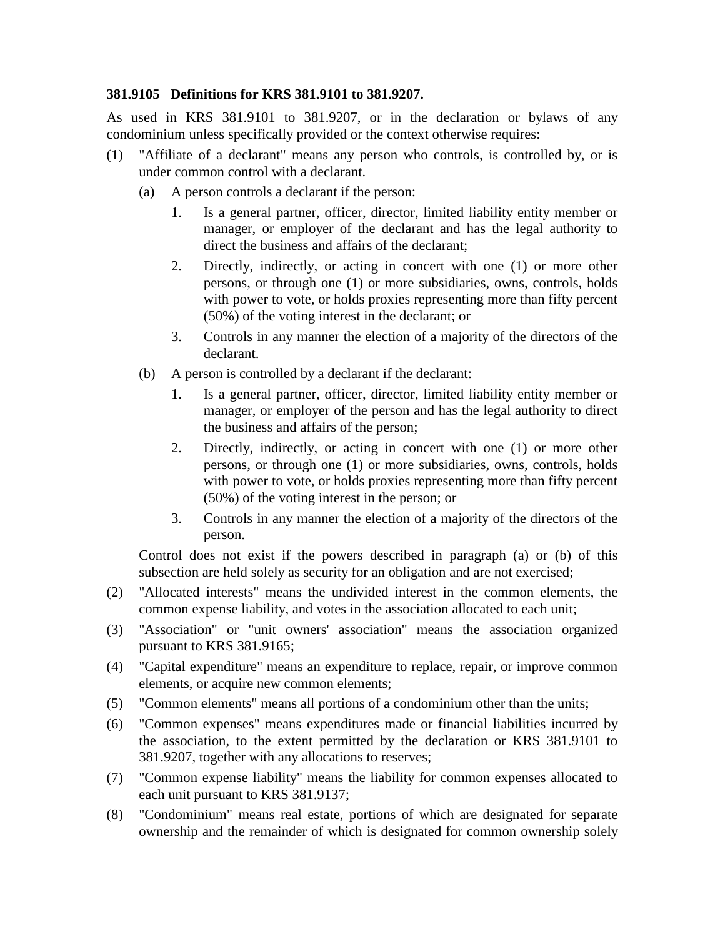## **381.9105 Definitions for KRS 381.9101 to 381.9207.**

As used in KRS 381.9101 to 381.9207, or in the declaration or bylaws of any condominium unless specifically provided or the context otherwise requires:

- (1) "Affiliate of a declarant" means any person who controls, is controlled by, or is under common control with a declarant.
	- (a) A person controls a declarant if the person:
		- 1. Is a general partner, officer, director, limited liability entity member or manager, or employer of the declarant and has the legal authority to direct the business and affairs of the declarant;
		- 2. Directly, indirectly, or acting in concert with one (1) or more other persons, or through one (1) or more subsidiaries, owns, controls, holds with power to vote, or holds proxies representing more than fifty percent (50%) of the voting interest in the declarant; or
		- 3. Controls in any manner the election of a majority of the directors of the declarant.
	- (b) A person is controlled by a declarant if the declarant:
		- 1. Is a general partner, officer, director, limited liability entity member or manager, or employer of the person and has the legal authority to direct the business and affairs of the person;
		- 2. Directly, indirectly, or acting in concert with one (1) or more other persons, or through one (1) or more subsidiaries, owns, controls, holds with power to vote, or holds proxies representing more than fifty percent (50%) of the voting interest in the person; or
		- 3. Controls in any manner the election of a majority of the directors of the person.

Control does not exist if the powers described in paragraph (a) or (b) of this subsection are held solely as security for an obligation and are not exercised;

- (2) "Allocated interests" means the undivided interest in the common elements, the common expense liability, and votes in the association allocated to each unit;
- (3) "Association" or "unit owners' association" means the association organized pursuant to KRS 381.9165;
- (4) "Capital expenditure" means an expenditure to replace, repair, or improve common elements, or acquire new common elements;
- (5) "Common elements" means all portions of a condominium other than the units;
- (6) "Common expenses" means expenditures made or financial liabilities incurred by the association, to the extent permitted by the declaration or KRS 381.9101 to 381.9207, together with any allocations to reserves;
- (7) "Common expense liability" means the liability for common expenses allocated to each unit pursuant to KRS 381.9137;
- (8) "Condominium" means real estate, portions of which are designated for separate ownership and the remainder of which is designated for common ownership solely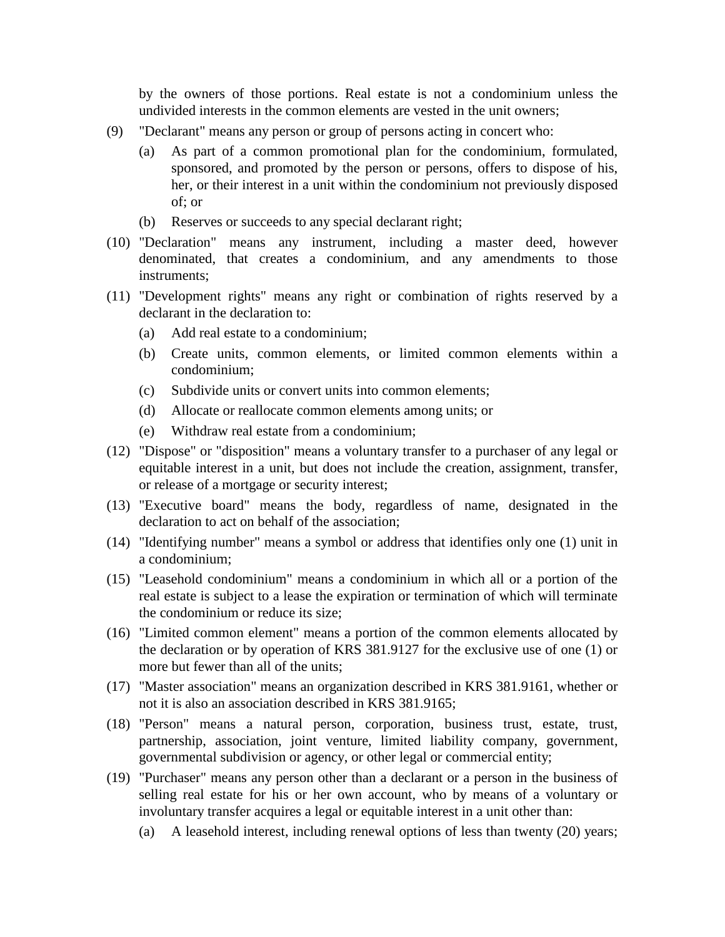by the owners of those portions. Real estate is not a condominium unless the undivided interests in the common elements are vested in the unit owners;

- (9) "Declarant" means any person or group of persons acting in concert who:
	- (a) As part of a common promotional plan for the condominium, formulated, sponsored, and promoted by the person or persons, offers to dispose of his, her, or their interest in a unit within the condominium not previously disposed of; or
	- (b) Reserves or succeeds to any special declarant right;
- (10) "Declaration" means any instrument, including a master deed, however denominated, that creates a condominium, and any amendments to those instruments;
- (11) "Development rights" means any right or combination of rights reserved by a declarant in the declaration to:
	- (a) Add real estate to a condominium;
	- (b) Create units, common elements, or limited common elements within a condominium;
	- (c) Subdivide units or convert units into common elements;
	- (d) Allocate or reallocate common elements among units; or
	- (e) Withdraw real estate from a condominium;
- (12) "Dispose" or "disposition" means a voluntary transfer to a purchaser of any legal or equitable interest in a unit, but does not include the creation, assignment, transfer, or release of a mortgage or security interest;
- (13) "Executive board" means the body, regardless of name, designated in the declaration to act on behalf of the association;
- (14) "Identifying number" means a symbol or address that identifies only one (1) unit in a condominium;
- (15) "Leasehold condominium" means a condominium in which all or a portion of the real estate is subject to a lease the expiration or termination of which will terminate the condominium or reduce its size;
- (16) "Limited common element" means a portion of the common elements allocated by the declaration or by operation of KRS 381.9127 for the exclusive use of one (1) or more but fewer than all of the units;
- (17) "Master association" means an organization described in KRS 381.9161, whether or not it is also an association described in KRS 381.9165;
- (18) "Person" means a natural person, corporation, business trust, estate, trust, partnership, association, joint venture, limited liability company, government, governmental subdivision or agency, or other legal or commercial entity;
- (19) "Purchaser" means any person other than a declarant or a person in the business of selling real estate for his or her own account, who by means of a voluntary or involuntary transfer acquires a legal or equitable interest in a unit other than:
	- (a) A leasehold interest, including renewal options of less than twenty (20) years;